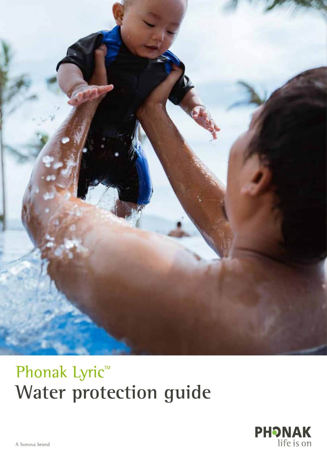

# Phonak Lyric™ **Water protection guide**

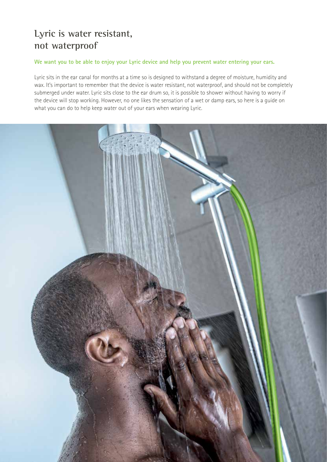#### **Lyric is water resistant, not waterproof**

#### **We want you to be able to enjoy your Lyric device and help you prevent water entering your ears.**

Lyric sits in the ear canal for months at a time so is designed to withstand a degree of moisture, humidity and wax. It's important to remember that the device is water resistant, not waterproof, and should not be completely submerged under water. Lyric sits close to the ear drum so, it is possible to shower without having to worry if the device will stop working. However, no one likes the sensation of a wet or damp ears, so here is a guide on what you can do to help keep water out of your ears when wearing Lyric.

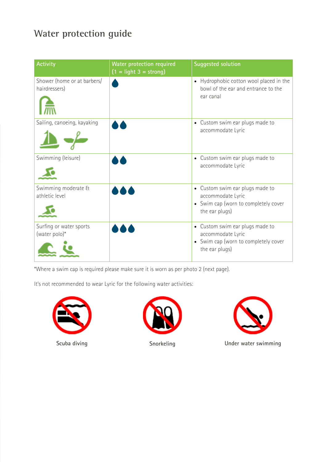## **Water protection guide**

| <b>Activity</b>                              | <b>Water protection required</b><br>$(1 = light 3 = strong)$ | <b>Suggested solution</b>                                                                                                 |
|----------------------------------------------|--------------------------------------------------------------|---------------------------------------------------------------------------------------------------------------------------|
| Shower (home or at barbers/<br>hairdressers) |                                                              | Hydrophobic cotton wool placed in the<br>$\bullet$<br>bowl of the ear and entrance to the<br>ear canal                    |
| Sailing, canoeing, kayaking                  |                                                              | Custom swim ear plugs made to<br>$\bullet$<br>accommodate Lyric                                                           |
| Swimming (leisure)                           |                                                              | Custom swim ear plugs made to<br>$\bullet$<br>accommodate Lyric                                                           |
| Swimming moderate &<br>athletic level        |                                                              | • Custom swim ear plugs made to<br>accommodate Lyric<br>• Swim cap (worn to completely cover<br>the ear plugs)            |
| Surfing or water sports<br>(water polo) $*$  |                                                              | Custom swim ear plugs made to<br>$\bullet$<br>accommodate Lyric<br>• Swim cap (worn to completely cover<br>the ear plugs) |

\*Where a swim cap is required please make sure it is worn as per photo 2 (next page).

It's not recommended to wear Lyric for the following water activities:







**Scuba diving Snorkeling Under water swimming**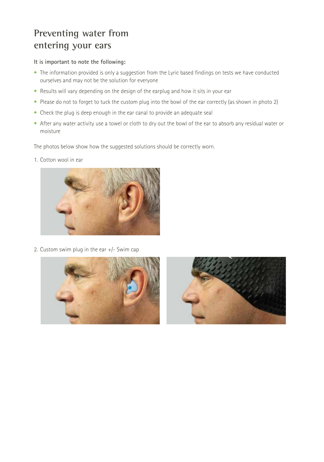### **Preventing water from entering your ears**

#### **It is important to note the following:**

- The information provided is only a suggestion from the Lyric based findings on tests we have conducted ourselves and may not be the solution for everyone
- Results will vary depending on the design of the earplug and how it sits in your ear
- Please do not to forget to tuck the custom plug into the bowl of the ear correctly (as shown in photo 2)
- Check the plug is deep enough in the ear canal to provide an adequate seal
- After any water activity use a towel or cloth to dry out the bowl of the ear to absorb any residual water or moisture

The photos below show how the suggested solutions should be correctly worn.

1. Cotton wool in ear



2. Custom swim plug in the ear +/- Swim cap

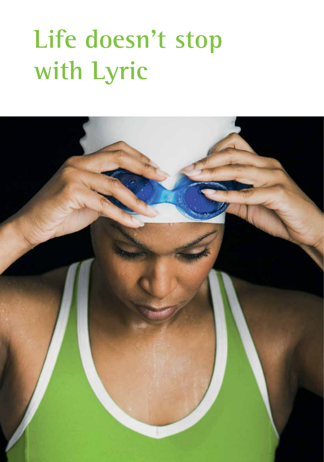# **Life doesn't stop with Lyric**